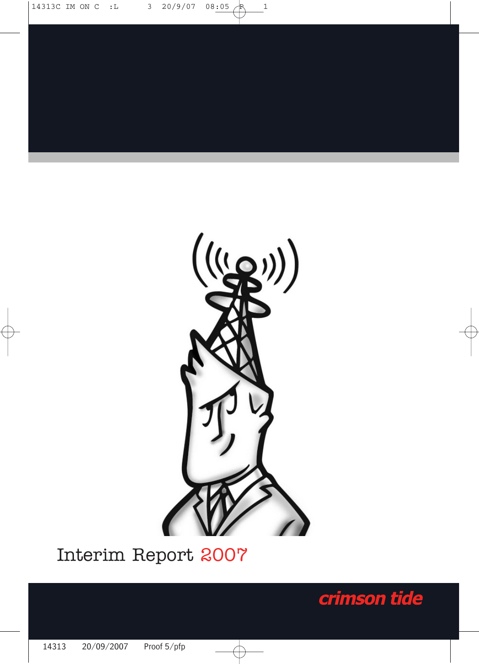

# Interim Report 2007

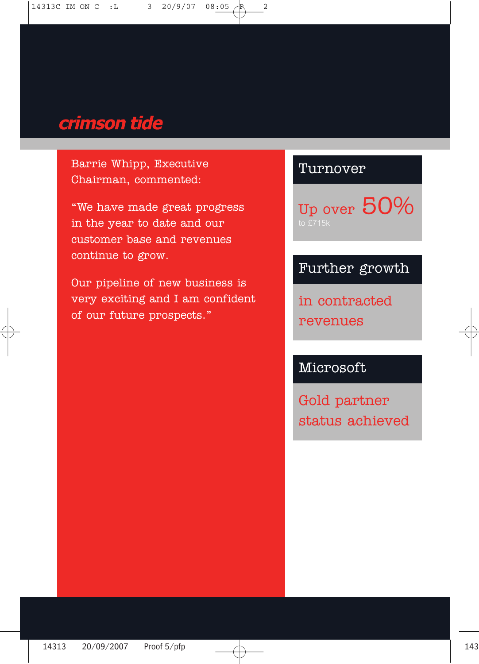# crimson tide

Barrie Whipp, Executive Chairman, commented:

"We have made great progress in the year to date and our customer base and revenues continue to grow.

Our pipeline of new business is very exciting and I am confident of our future prospects."

### Turnover

Up over 50%

## Further growth

in contracted revenues

Microsoft

Gold partner status achieved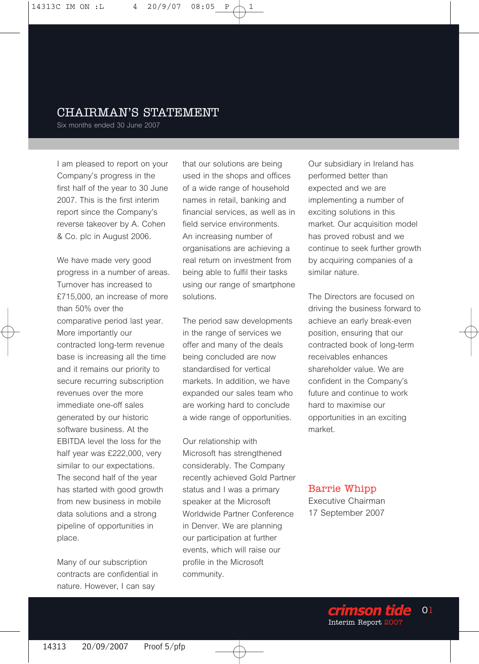#### CHAIRMAN'S STATEMENT

Six months ended 30 June 2007

I am pleased to report on your Company's progress in the first half of the year to 30 June 2007. This is the first interim report since the Company's reverse takeover by A. Cohen & Co. plc in August 2006.

We have made very good progress in a number of areas. Turnover has increased to £715,000, an increase of more than 50% over the comparative period last year. More importantly our contracted long-term revenue base is increasing all the time and it remains our priority to secure recurring subscription revenues over the more immediate one-off sales generated by our historic software business. At the EBITDA level the loss for the half year was £222,000, very similar to our expectations. The second half of the year has started with good growth from new business in mobile data solutions and a strong pipeline of opportunities in place.

Many of our subscription contracts are confidential in nature. However, I can say

that our solutions are being used in the shops and offices of a wide range of household names in retail, banking and financial services, as well as in field service environments. An increasing number of organisations are achieving a real return on investment from being able to fulfil their tasks using our range of smartphone solutions.

The period saw developments in the range of services we offer and many of the deals being concluded are now standardised for vertical markets. In addition, we have expanded our sales team who are working hard to conclude a wide range of opportunities.

Our relationship with Microsoft has strengthened considerably. The Company recently achieved Gold Partner status and I was a primary speaker at the Microsoft Worldwide Partner Conference in Denver. We are planning our participation at further events, which will raise our profile in the Microsoft community.

Our subsidiary in Ireland has performed better than expected and we are implementing a number of exciting solutions in this market. Our acquisition model has proved robust and we continue to seek further growth by acquiring companies of a similar nature.

The Directors are focused on driving the business forward to achieve an early break-even position, ensuring that our contracted book of long-term receivables enhances shareholder value. We are confident in the Company's future and continue to work hard to maximise our opportunities in an exciting market.

#### Barrie Whipp

Executive Chairman 17 September 2007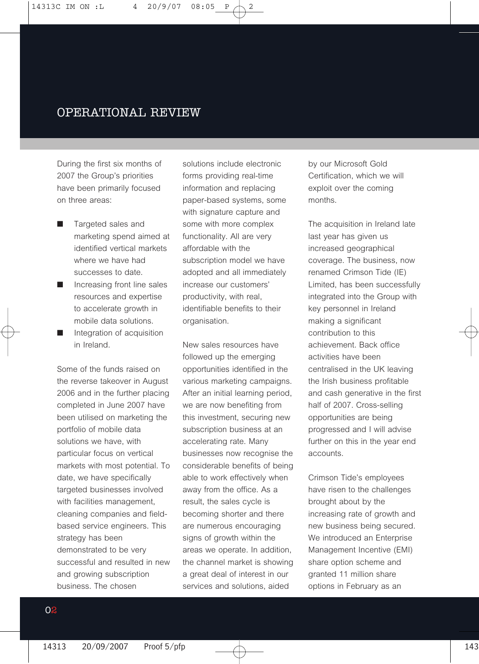#### OPERATIONAL REVIEW

During the first six months of 2007 the Group's priorities have been primarily focused on three areas:

- Targeted sales and marketing spend aimed at identified vertical markets where we have had successes to date.
- Increasing front line sales resources and expertise to accelerate growth in mobile data solutions.
- Integration of acquisition in Ireland.

Some of the funds raised on the reverse takeover in August 2006 and in the further placing completed in June 2007 have been utilised on marketing the portfolio of mobile data solutions we have, with particular focus on vertical markets with most potential. To date, we have specifically targeted businesses involved with facilities management, cleaning companies and fieldbased service engineers. This strategy has been demonstrated to be very successful and resulted in new and growing subscription business. The chosen

solutions include electronic forms providing real-time information and replacing paper-based systems, some with signature capture and some with more complex functionality. All are very affordable with the subscription model we have adopted and all immediately increase our customers' productivity, with real, identifiable benefits to their organisation.

New sales resources have followed up the emerging opportunities identified in the various marketing campaigns. After an initial learning period. we are now benefiting from this investment, securing new subscription business at an accelerating rate. Many businesses now recognise the considerable benefits of being able to work effectively when away from the office. As a result, the sales cycle is becoming shorter and there are numerous encouraging signs of growth within the areas we operate. In addition, the channel market is showing a great deal of interest in our services and solutions, aided

by our Microsoft Gold Certification, which we will exploit over the coming months.

The acquisition in Ireland late last year has given us increased geographical coverage. The business, now renamed Crimson Tide (IE) Limited, has been successfully integrated into the Group with key personnel in Ireland making a significant contribution to this achievement. Back office activities have been centralised in the UK leaving the Irish business profitable and cash generative in the first half of 2007. Cross-selling opportunities are being progressed and I will advise further on this in the year end accounts.

Crimson Tide's employees have risen to the challenges brought about by the increasing rate of growth and new business being secured. We introduced an Enterprise Management Incentive (EMI) share option scheme and granted 11 million share options in February as an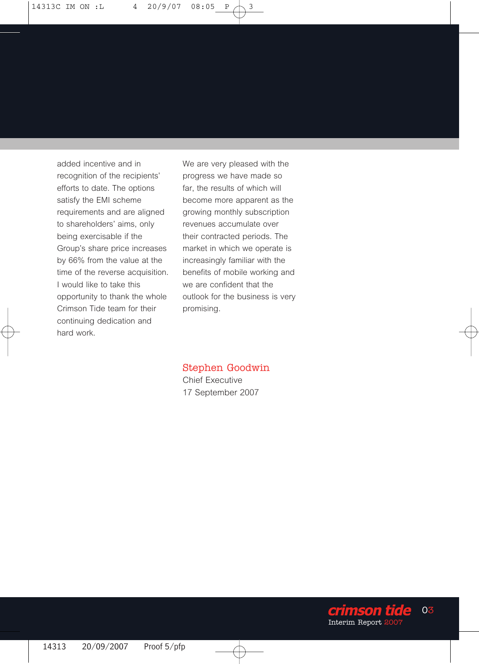added incentive and in recognition of the recipients' efforts to date. The options satisfy the EMI scheme requirements and are aligned to shareholders' aims, only being exercisable if the Group's share price increases by 66% from the value at the time of the reverse acquisition. I would like to take this opportunity to thank the whole Crimson Tide team for their continuing dedication and hard work.

We are very pleased with the progress we have made so far, the results of which will become more apparent as the growing monthly subscription revenues accumulate over their contracted periods. The market in which we operate is increasingly familiar with the benefits of mobile working and we are confident that the outlook for the business is very promising.

#### Stephen Goodwin

Chief Executive 17 September 2007

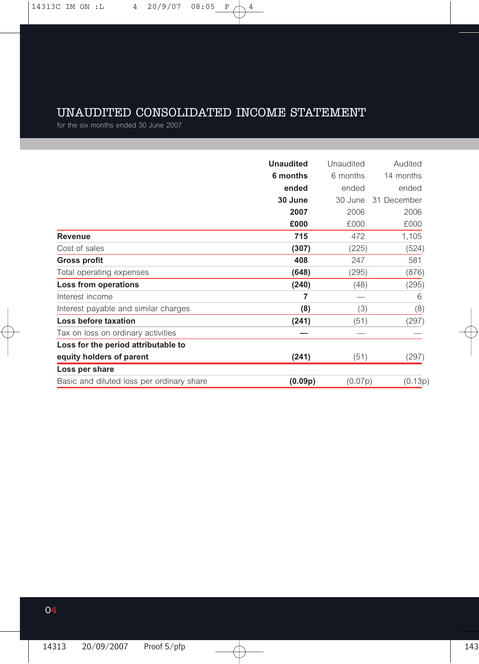## UNAUDITED CONSOLIDATED INCOME STATEMENT

for the six months ended 30 June 2007

|                                           | <b>Unaudited</b> | Unaudited | Audited     |
|-------------------------------------------|------------------|-----------|-------------|
|                                           | 6 months         | 6 months  | 14 months   |
|                                           | ended            | ended     | ended       |
|                                           | 30 June          | 30 June   | 31 December |
|                                           | 2007             | 2006      | 2006        |
|                                           | £000             | £000      | £000        |
| Revenue                                   | 715              | 472       | 1,105       |
| Cost of sales                             | (307)            | (225)     | (524)       |
| <b>Gross profit</b>                       | 408              | 247       | 581         |
| Total operating expenses                  | (648)            | (295)     | (876)       |
| Loss from operations                      | (240)            | (48)      | (295)       |
| Interest income                           | 7                |           | 6           |
| Interest payable and similar charges      | (8)              | (3)       | (8)         |
| Loss before taxation                      | (241)            | (51)      | (297)       |
| Tax on loss on ordinary activities        |                  |           |             |
| Loss for the period attributable to       |                  |           |             |
| equity holders of parent                  | (241)            | (51)      | (297)       |
| Loss per share                            |                  |           |             |
| Basic and diluted loss per ordinary share | (0.09p)          | (0.07p)   | (0.13p)     |
|                                           |                  |           |             |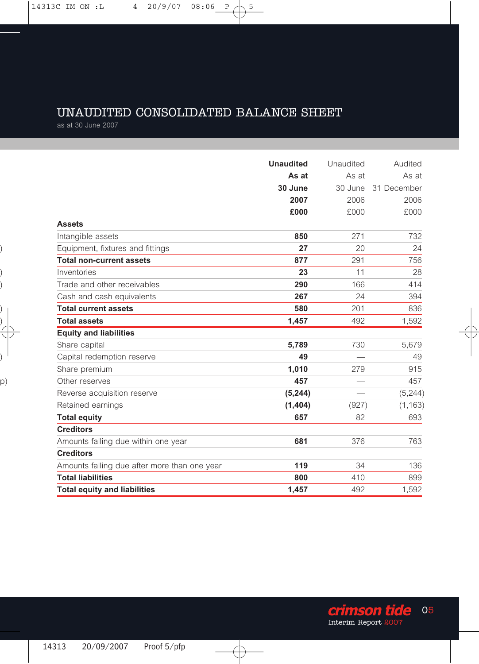## UNAUDITED CONSOLIDATED BALANCE SHEET

as at 30 June 2007

|                                              | <b>Unaudited</b> | Unaudited | Audited     |
|----------------------------------------------|------------------|-----------|-------------|
|                                              | As at            | As at     | As at       |
|                                              | 30 June          | 30 June   | 31 December |
|                                              | 2007             | 2006      | 2006        |
|                                              | £000             | £000      | £000        |
| <b>Assets</b>                                |                  |           |             |
| Intangible assets                            | 850              | 271       | 732         |
| Equipment, fixtures and fittings             | 27               | 20        | 24          |
| <b>Total non-current assets</b>              | 877              | 291       | 756         |
| Inventories                                  | 23               | 11        | 28          |
| Trade and other receivables                  | 290              | 166       | 414         |
| Cash and cash equivalents                    | 267              | 24        | 394         |
| <b>Total current assets</b>                  | 580              | 201       | 836         |
| <b>Total assets</b>                          | 1,457            | 492       | 1,592       |
| <b>Equity and liabilities</b>                |                  |           |             |
| Share capital                                | 5,789            | 730       | 5,679       |
| Capital redemption reserve                   | 49               |           | 49          |
| Share premium                                | 1,010            | 279       | 915         |
| Other reserves                               | 457              |           | 457         |
| Reverse acquisition reserve                  | (5, 244)         |           | (5,244)     |
| Retained earnings                            | (1,404)          | (927)     | (1, 163)    |
| <b>Total equity</b>                          | 657              | 82        | 693         |
| <b>Creditors</b>                             |                  |           |             |
| Amounts falling due within one year          | 681              | 376       | 763         |
| <b>Creditors</b>                             |                  |           |             |
| Amounts falling due after more than one year | 119              | 34        | 136         |
| <b>Total liabilities</b>                     | 800              | 410       | 899         |
| <b>Total equity and liabilities</b>          | 1,457            | 492       | 1,592       |

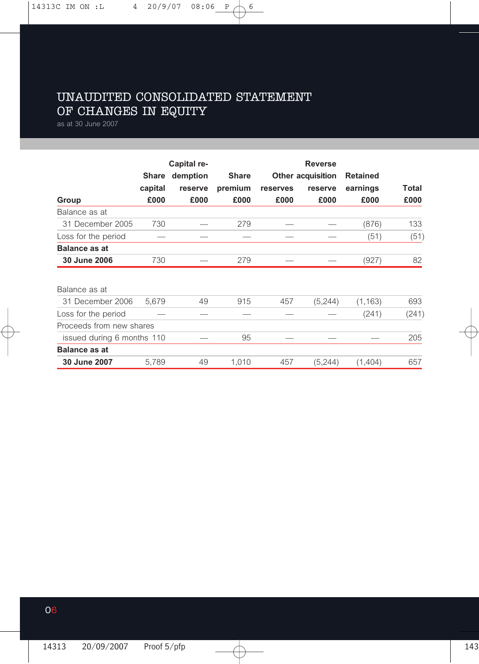## UNAUDITED CONSOLIDATED STATEMENT OF CHANGES IN EQUITY

as at 30 June 2007

|                            |         | Capital re- |              |                          | <b>Reverse</b> |                 |       |  |
|----------------------------|---------|-------------|--------------|--------------------------|----------------|-----------------|-------|--|
|                            | Share   | demption    | <b>Share</b> | <b>Other acquisition</b> |                | <b>Retained</b> |       |  |
|                            | capital | reserve     | premium      | reserves                 | reserve        | earnings        | Total |  |
| Group                      | £000    | £000        | £000         | £000                     | £000           | £000            | £000  |  |
| Balance as at              |         |             |              |                          |                |                 |       |  |
| 31 December 2005           | 730     |             | 279          |                          |                | (876)           | 133   |  |
| Loss for the period        |         |             |              |                          |                | (51)            | (51)  |  |
| <b>Balance as at</b>       |         |             |              |                          |                |                 |       |  |
| 30 June 2006               | 730     |             | 279          |                          |                | (927)           | 82    |  |
| Balance as at              |         |             |              |                          |                |                 |       |  |
| 31 December 2006           | 5.679   | 49          | 915          | 457                      | (5,244)        | (1, 163)        | 693   |  |
| Loss for the period        |         |             |              |                          |                | (241)           | (241) |  |
| Proceeds from new shares   |         |             |              |                          |                |                 |       |  |
| issued during 6 months 110 |         |             | 95           |                          |                |                 | 205   |  |
| <b>Balance as at</b>       |         |             |              |                          |                |                 |       |  |
| 30 June 2007               | 5,789   | 49          | 1,010        | 457                      | (5,244)        | (1,404)         | 657   |  |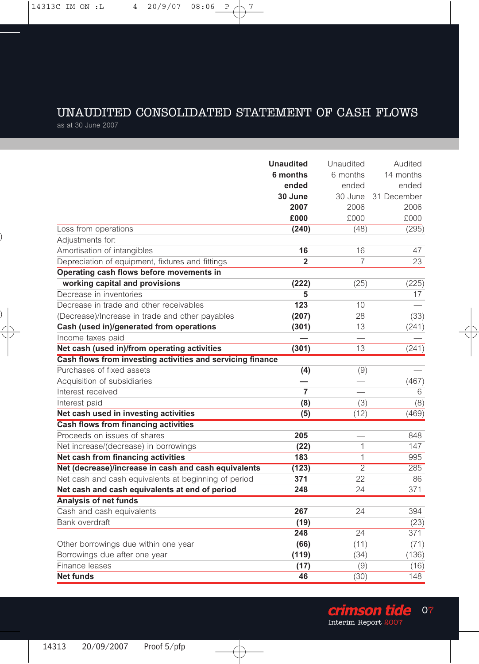### UNAUDITED CONSOLIDATED STATEMENT OF CASH FLOWS

as at 30 June 2007

|                                                            | <b>Unaudited</b> | Unaudited      | Audited     |
|------------------------------------------------------------|------------------|----------------|-------------|
|                                                            | 6 months         | 6 months       | 14 months   |
|                                                            | ended            | ended          | ended       |
|                                                            | 30 June          | 30 June        | 31 December |
|                                                            | 2007             | 2006           | 2006        |
|                                                            | £000             | £000           | £000        |
| Loss from operations                                       | (240)            | (48)           | (295)       |
| Adjustments for:                                           |                  |                |             |
| Amortisation of intangibles                                | 16               | 16             | 47          |
| Depreciation of equipment, fixtures and fittings           | $\overline{2}$   | 7              | 23          |
| Operating cash flows before movements in                   |                  |                |             |
| working capital and provisions                             | (222)            | (25)           | (225)       |
| Decrease in inventories                                    | 5                |                | 17          |
| Decrease in trade and other receivables                    | 123              | 10             |             |
| (Decrease)/Increase in trade and other payables            | (207)            | 28             | (33)        |
| Cash (used in)/generated from operations                   | (301)            | 13             | (241)       |
| Income taxes paid                                          |                  |                |             |
| Net cash (used in)/from operating activities               | (301)            | 13             | (241)       |
| Cash flows from investing activities and servicing finance |                  |                |             |
| Purchases of fixed assets                                  | (4)              | (9)            |             |
| Acquisition of subsidiaries                                |                  |                | (467)       |
| Interest received                                          | 7                |                | 6           |
| Interest paid                                              | (8)              | (3)            | (8)         |
| Net cash used in investing activities                      | (5)              | (12)           | (469)       |
| Cash flows from financing activities                       |                  |                |             |
| Proceeds on issues of shares                               | 205              |                | 848         |
| Net increase/(decrease) in borrowings                      | (22)             | 1              | 147         |
| Net cash from financing activities                         | 183              | 1              | 995         |
| Net (decrease)/increase in cash and cash equivalents       | (123)            | $\overline{2}$ | 285         |
| Net cash and cash equivalents at beginning of period       | 371              | 22             | 86          |
| Net cash and cash equivalents at end of period             | 248              | 24             | 371         |
| <b>Analysis of net funds</b>                               |                  |                |             |
| Cash and cash equivalents                                  | 267              | 24             | 394         |
| Bank overdraft                                             | (19)             |                | (23)        |
|                                                            | 248              | 24             | 371         |
| Other borrowings due within one year                       | (66)             | (11)           | (71)        |
| Borrowings due after one year                              | (119)            | (34)           | (136)       |
| Finance leases                                             | (17)             | (9)            | (16)        |
| Net funds                                                  | 46               | (30)           | 148         |

**Crimson tide**<br>Interim Report 2007 07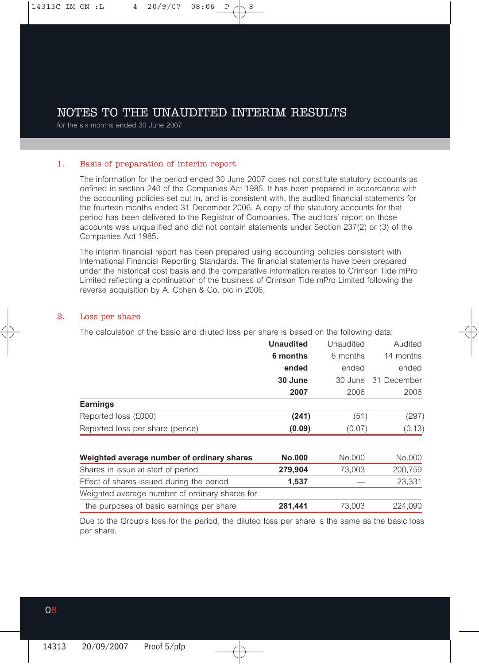#### NOTES TO THE UNAUDITED INTERIM RESULTS

for the six months ended 30 June 2007

#### 1. Basis of preparation of interim report

The information for the period ended 30 June 2007 does not constitute statutory accounts as defined in section 240 of the Companies Act 1985. It has been prepared in accordance with the accounting policies set out in, and is consistent with, the audited financial statements for the fourteen months ended 31 December 2006. A copy of the statutory accounts for that period has been delivered to the Registrar of Companies. The auditors' report on those accounts was unqualified and did not contain statements under Section 237(2) or (3) of the Companies Act 1985.

The interim financial report has been prepared using accounting policies consistent with International Financial Reporting Standards. The financial statements have been prepared under the historical cost basis and the comparative information relates to Crimson Tide mPro Limited reflecting a continuation of the business of Crimson Tide mPro Limited following the reverse acquisition by A. Cohen & Co. plc in 2006.

#### 2. Loss per share

The calculation of the basic and diluted loss per share is based on the following data:

|                                 | <b>Unaudited</b> | Unaudited | Audited             |
|---------------------------------|------------------|-----------|---------------------|
|                                 | 6 months         | 6 months  | 14 months           |
|                                 | ended            | ended     | ended               |
|                                 | 30 June          |           | 30 June 31 December |
|                                 | 2007             | 2006      | 2006                |
| <b>Earnings</b>                 |                  |           |                     |
| Reported loss (£000)            | (241)            | (51)      | (297)               |
| Reported loss per share (pence) | (0.09)           | (0.07)    | (0.13)              |

| Weighted average number of ordinary shares     | <b>No.000</b> | No.000 | No.000  |
|------------------------------------------------|---------------|--------|---------|
| Shares in issue at start of period             | 279.904       | 73.003 | 200.759 |
| Effect of shares issued during the period      | 1.537         |        | 23.331  |
| Weighted average number of ordinary shares for |               |        |         |
| the purposes of basic earnings per share       | 281.441       | 73.003 | 224.090 |

Due to the Group's loss for the period, the diluted loss per share is the same as the basic loss per share.